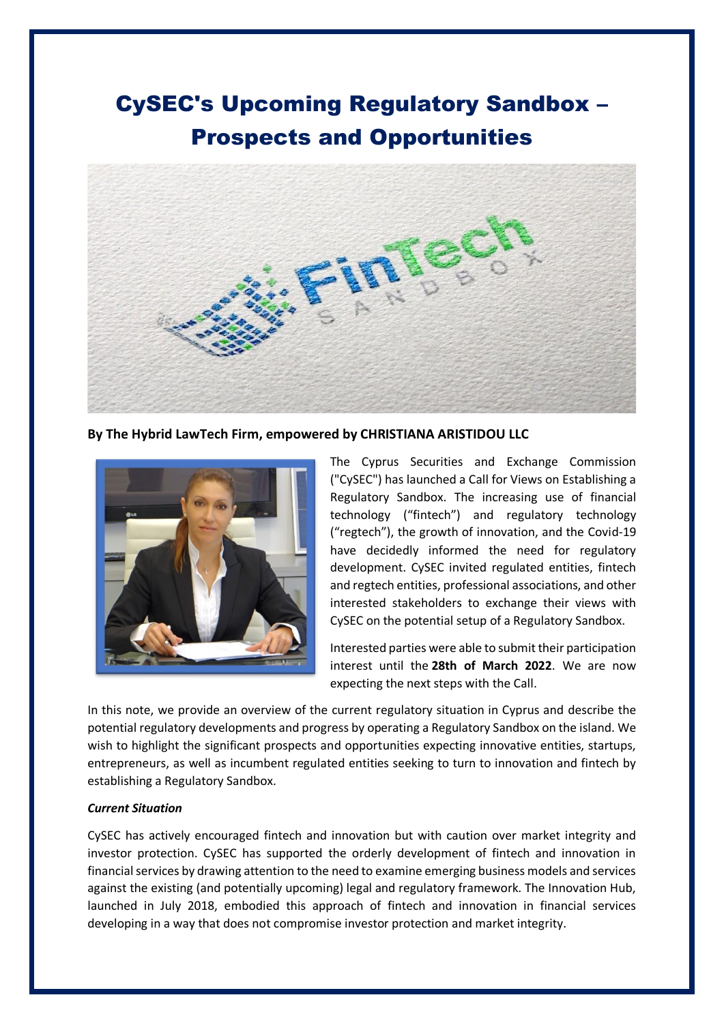# CySEC's Upcoming Regulatory Sandbox – Prospects and Opportunities



**By The Hybrid LawTech Firm, empowered by CHRISTIANA ARISTIDOU LLC**



The Cyprus Securities and Exchange Commission ("CySEC") has launched a Call for Views on Establishing a Regulatory Sandbox. The increasing use of financial technology ("fintech") and regulatory technology ("regtech"), the growth of innovation, and the Covid-19 have decidedly informed the need for regulatory development. CySEC invited regulated entities, fintech and regtech entities, professional associations, and other interested stakeholders to exchange their views with CySEC on the potential setup of a Regulatory Sandbox.

Interested parties were able to submit their participation interest until the **28th of March 2022**. We are now expecting the next steps with the Call.

In this note, we provide an overview of the current regulatory situation in Cyprus and describe the potential regulatory developments and progress by operating a Regulatory Sandbox on the island. We wish to highlight the significant prospects and opportunities expecting innovative entities, startups, entrepreneurs, as well as incumbent regulated entities seeking to turn to innovation and fintech by establishing a Regulatory Sandbox.

### *Current Situation*

CySEC has actively encouraged fintech and innovation but with caution over market integrity and investor protection. CySEC has supported the orderly development of fintech and innovation in financial services by drawing attention to the need to examine emerging business models and services against the existing (and potentially upcoming) legal and regulatory framework. The Innovation Hub, launched in July 2018, embodied this approach of fintech and innovation in financial services developing in a way that does not compromise investor protection and market integrity.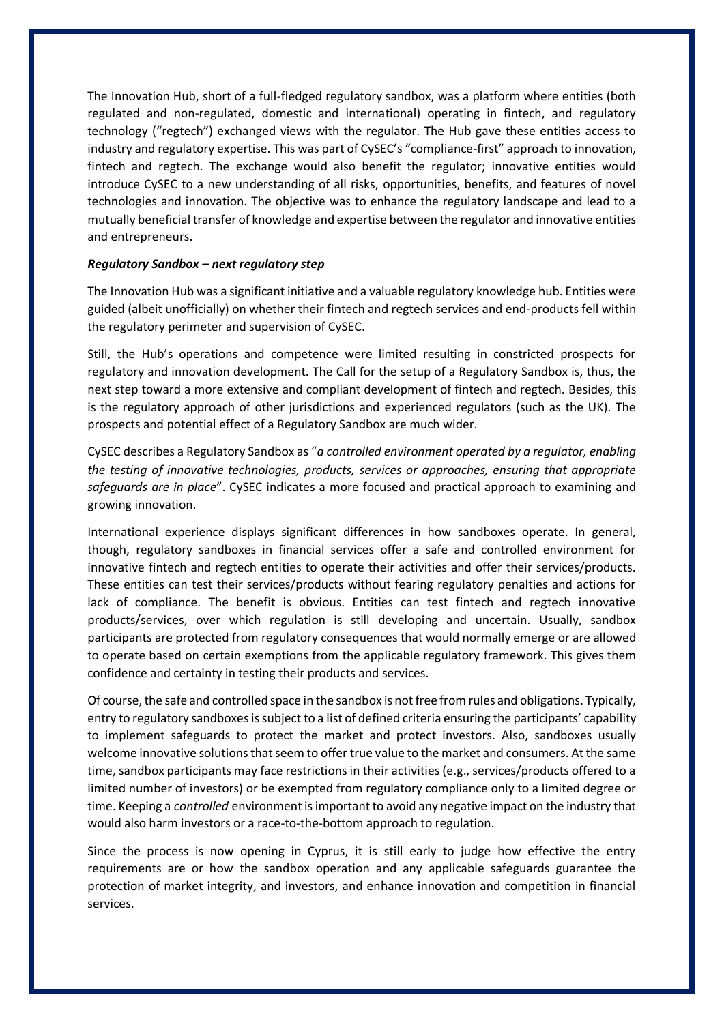The Innovation Hub, short of a full-fledged regulatory sandbox, was a platform where entities (both regulated and non-regulated, domestic and international) operating in fintech, and regulatory technology ("regtech") exchanged views with the regulator. The Hub gave these entities access to industry and regulatory expertise. This was part of CySEC's "compliance-first" approach to innovation, fintech and regtech. The exchange would also benefit the regulator; innovative entities would introduce CySEC to a new understanding of all risks, opportunities, benefits, and features of novel technologies and innovation. The objective was to enhance the regulatory landscape and lead to a mutually beneficial transfer of knowledge and expertise between the regulator and innovative entities and entrepreneurs.

#### *Regulatory Sandbox – next regulatory step*

The Innovation Hub was a significant initiative and a valuable regulatory knowledge hub. Entities were guided (albeit unofficially) on whether their fintech and regtech services and end-products fell within the regulatory perimeter and supervision of CySEC.

Still, the Hub's operations and competence were limited resulting in constricted prospects for regulatory and innovation development. The Call for the setup of a Regulatory Sandbox is, thus, the next step toward a more extensive and compliant development of fintech and regtech. Besides, this is the regulatory approach of other jurisdictions and experienced regulators (such as the UK). The prospects and potential effect of a Regulatory Sandbox are much wider.

CySEC describes a Regulatory Sandbox as "*a controlled environment operated by a regulator, enabling the testing of innovative technologies, products, services or approaches, ensuring that appropriate safeguards are in place*". CySEC indicates a more focused and practical approach to examining and growing innovation.

International experience displays significant differences in how sandboxes operate. In general, though, regulatory sandboxes in financial services offer a safe and controlled environment for innovative fintech and regtech entities to operate their activities and offer their services/products. These entities can test their services/products without fearing regulatory penalties and actions for lack of compliance. The benefit is obvious. Entities can test fintech and regtech innovative products/services, over which regulation is still developing and uncertain. Usually, sandbox participants are protected from regulatory consequences that would normally emerge or are allowed to operate based on certain exemptions from the applicable regulatory framework. This gives them confidence and certainty in testing their products and services.

Of course, the safe and controlled space in the sandbox is not free from rules and obligations. Typically, entry to regulatory sandboxes is subject to a list of defined criteria ensuring the participants' capability to implement safeguards to protect the market and protect investors. Also, sandboxes usually welcome innovative solutions that seem to offer true value to the market and consumers. At the same time, sandbox participants may face restrictions in their activities (e.g., services/products offered to a limited number of investors) or be exempted from regulatory compliance only to a limited degree or time. Keeping a *controlled* environment is important to avoid any negative impact on the industry that would also harm investors or a race-to-the-bottom approach to regulation.

Since the process is now opening in Cyprus, it is still early to judge how effective the entry requirements are or how the sandbox operation and any applicable safeguards guarantee the protection of market integrity, and investors, and enhance innovation and competition in financial services.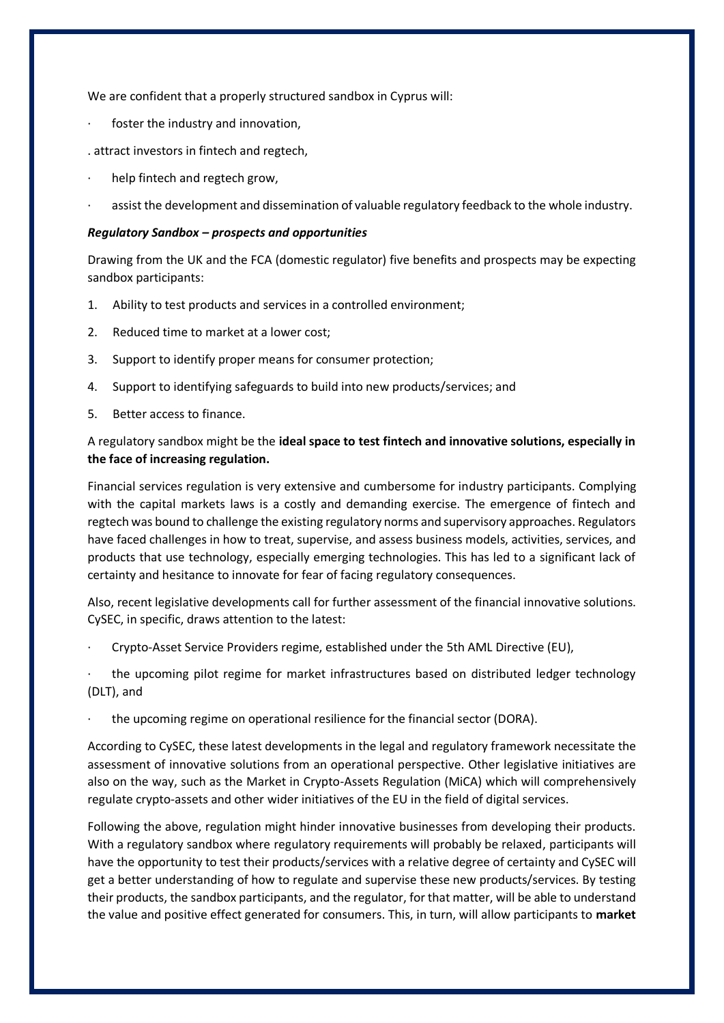We are confident that a properly structured sandbox in Cyprus will:

- foster the industry and innovation,
- . attract investors in fintech and regtech,
- help fintech and regtech grow,
- assist the development and dissemination of valuable regulatory feedback to the whole industry.

## *Regulatory Sandbox – prospects and opportunities*

Drawing from the UK and the FCA (domestic regulator) five benefits and prospects may be expecting sandbox participants:

- 1. Ability to test products and services in a controlled environment;
- 2. Reduced time to market at a lower cost;
- 3. Support to identify proper means for consumer protection;
- 4. Support to identifying safeguards to build into new products/services; and
- 5. Better access to finance.

# A regulatory sandbox might be the **ideal space to test fintech and innovative solutions, especially in the face of increasing regulation.**

Financial services regulation is very extensive and cumbersome for industry participants. Complying with the capital markets laws is a costly and demanding exercise. The emergence of fintech and regtech was bound to challenge the existing regulatory norms and supervisory approaches. Regulators have faced challenges in how to treat, supervise, and assess business models, activities, services, and products that use technology, especially emerging technologies. This has led to a significant lack of certainty and hesitance to innovate for fear of facing regulatory consequences.

Also, recent legislative developments call for further assessment of the financial innovative solutions. CySEC, in specific, draws attention to the latest:

· Crypto-Asset Service Providers regime, established under the 5th AML Directive (EU),

the upcoming pilot regime for market infrastructures based on distributed ledger technology (DLT), and

· the upcoming regime on operational resilience for the financial sector (DORA).

According to CySEC, these latest developments in the legal and regulatory framework necessitate the assessment of innovative solutions from an operational perspective. Other legislative initiatives are also on the way, such as the Market in Crypto-Assets Regulation (MiCA) which will comprehensively regulate crypto-assets and other wider initiatives of the EU in the field of digital services.

Following the above, regulation might hinder innovative businesses from developing their products. With a regulatory sandbox where regulatory requirements will probably be relaxed, participants will have the opportunity to test their products/services with a relative degree of certainty and CySEC will get a better understanding of how to regulate and supervise these new products/services. By testing their products, the sandbox participants, and the regulator, for that matter, will be able to understand the value and positive effect generated for consumers. This, in turn, will allow participants to **market**